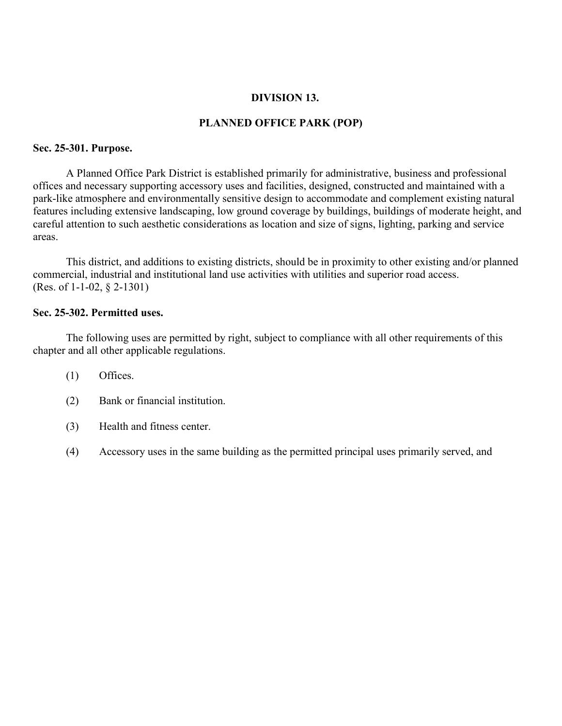### **DIVISION 13.**

### **PLANNED OFFICE PARK (POP)**

#### **Sec. 25-301. Purpose.**

A Planned Office Park District is established primarily for administrative, business and professional offices and necessary supporting accessory uses and facilities, designed, constructed and maintained with a park-like atmosphere and environmentally sensitive design to accommodate and complement existing natural features including extensive landscaping, low ground coverage by buildings, buildings of moderate height, and careful attention to such aesthetic considerations as location and size of signs, lighting, parking and service areas.

This district, and additions to existing districts, should be in proximity to other existing and/or planned commercial, industrial and institutional land use activities with utilities and superior road access. (Res. of 1-1-02, § 2-1301)

### **Sec. 25-302. Permitted uses.**

The following uses are permitted by right, subject to compliance with all other requirements of this chapter and all other applicable regulations.

- (1) Offices.
- (2) Bank or financial institution.
- (3) Health and fitness center.
- (4) Accessory uses in the same building as the permitted principal uses primarily served, and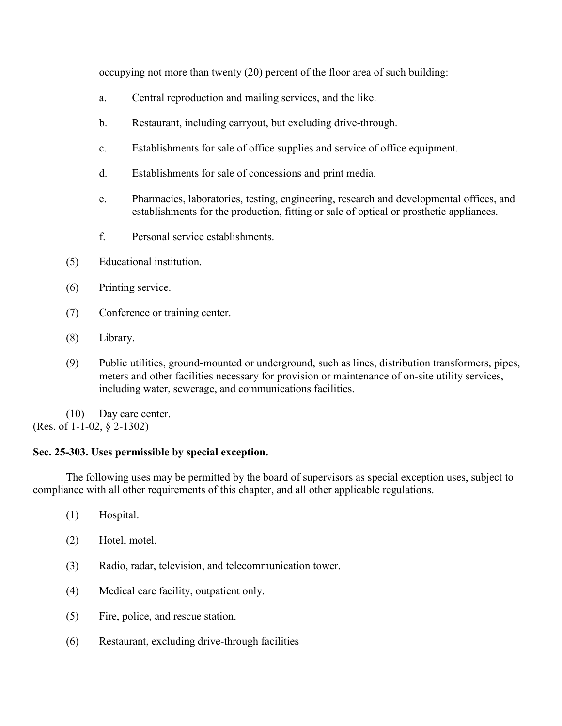occupying not more than twenty (20) percent of the floor area of such building:

- a. Central reproduction and mailing services, and the like.
- b. Restaurant, including carryout, but excluding drive-through.
- c. Establishments for sale of office supplies and service of office equipment.
- d. Establishments for sale of concessions and print media.
- e. Pharmacies, laboratories, testing, engineering, research and developmental offices, and establishments for the production, fitting or sale of optical or prosthetic appliances.
- f. Personal service establishments.
- (5) Educational institution.
- (6) Printing service.
- (7) Conference or training center.
- (8) Library.
- (9) Public utilities, ground-mounted or underground, such as lines, distribution transformers, pipes, meters and other facilities necessary for provision or maintenance of on-site utility services, including water, sewerage, and communications facilities.

 (10) Day care center. (Res. of 1-1-02, § 2-1302)

# **Sec. 25-303. Uses permissible by special exception.**

The following uses may be permitted by the board of supervisors as special exception uses, subject to compliance with all other requirements of this chapter, and all other applicable regulations.

- (1) Hospital.
- (2) Hotel, motel.
- (3) Radio, radar, television, and telecommunication tower.
- (4) Medical care facility, outpatient only.
- (5) Fire, police, and rescue station.
- (6) Restaurant, excluding drive-through facilities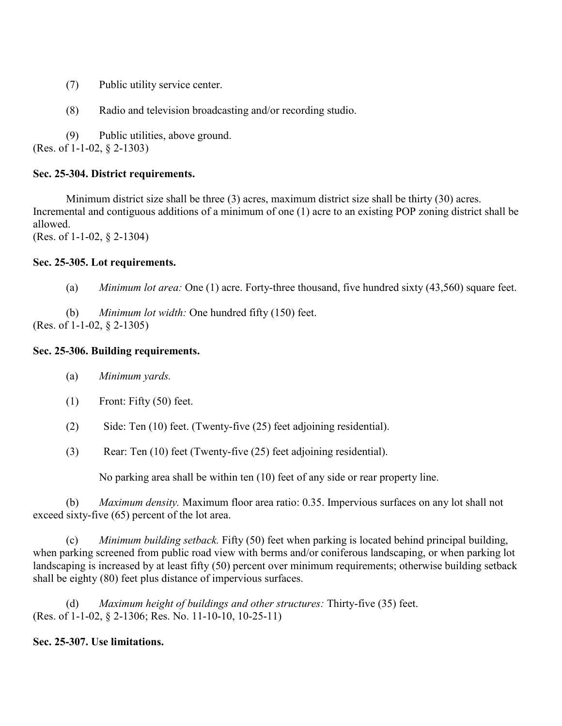- (7) Public utility service center.
- (8) Radio and television broadcasting and/or recording studio.

 (9) Public utilities, above ground. (Res. of 1-1-02, § 2-1303)

# **Sec. 25-304. District requirements.**

Minimum district size shall be three (3) acres, maximum district size shall be thirty (30) acres. Incremental and contiguous additions of a minimum of one (1) acre to an existing POP zoning district shall be allowed. (Res. of 1-1-02, § 2-1304)

**Sec. 25-305. Lot requirements.**

(a) *Minimum lot area:* One (1) acre. Forty-three thousand, five hundred sixty (43,560) square feet.

(b) *Minimum lot width:* One hundred fifty (150) feet. (Res. of 1-1-02, § 2-1305)

## **Sec. 25-306. Building requirements.**

- (a) *Minimum yards.*
- (1) Front: Fifty (50) feet.
- (2) Side: Ten (10) feet. (Twenty-five (25) feet adjoining residential).
- (3) Rear: Ten (10) feet (Twenty-five (25) feet adjoining residential).

No parking area shall be within ten (10) feet of any side or rear property line.

(b) *Maximum density.* Maximum floor area ratio: 0.35. Impervious surfaces on any lot shall not exceed sixty-five (65) percent of the lot area.

(c) *Minimum building setback.* Fifty (50) feet when parking is located behind principal building, when parking screened from public road view with berms and/or coniferous landscaping, or when parking lot landscaping is increased by at least fifty (50) percent over minimum requirements; otherwise building setback shall be eighty (80) feet plus distance of impervious surfaces.

(d) *Maximum height of buildings and other structures:* Thirty-five (35) feet. (Res. of 1-1-02, § 2-1306; Res. No. 11-10-10, 10-25-11)

# **Sec. 25-307. Use limitations.**